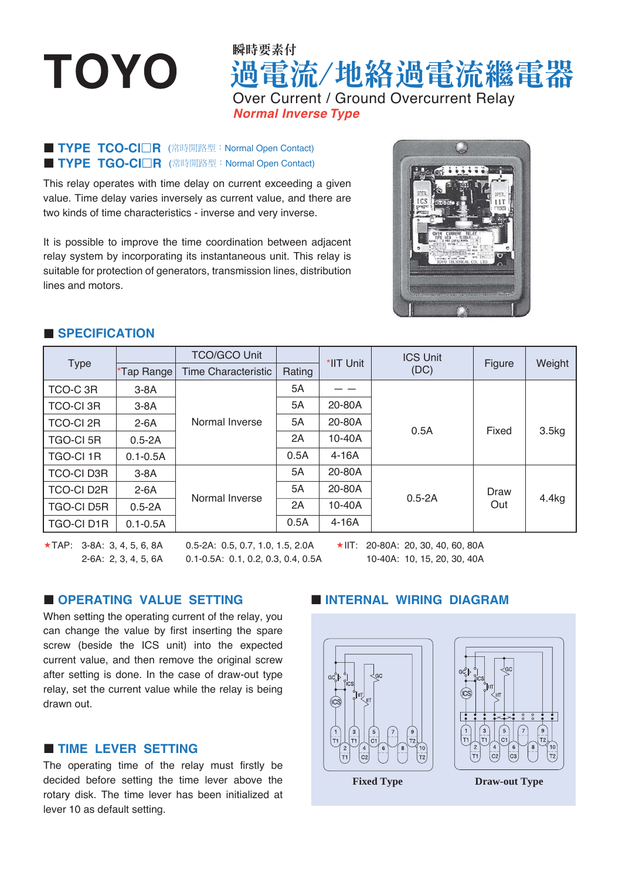# **TOYO**

## 過電流/地絡過電流繼電器 瞬時要素付 Over Current / Ground Overcurrent Relay *Normal Inverse Type*

#### **TYPE TCO-CIOR** (常時開路型: Normal Open Contact) **TYPE TGO-CIOR** (常時開路型: Normal Open Contact)

This relay operates with time delay on current exceeding a given value. Time delay varies inversely as current value, and there are two kinds of time characteristics - inverse and very inverse.

It is possible to improve the time coordination between adjacent relay system by incorporating its instantaneous unit. This relay is suitable for protection of generators, transmission lines, distribution lines and motors.



#### **SPECIFICATION**

| <b>Type</b>       |              | <b>TCO/GCO Unit</b>        |        | *IIT Unit | <b>ICS Unit</b><br>(DC) | Figure      | Weight |
|-------------------|--------------|----------------------------|--------|-----------|-------------------------|-------------|--------|
|                   | *Tap Range   | <b>Time Characteristic</b> | Rating |           |                         |             |        |
| TCO-C 3R          | $3-8A$       | Normal Inverse             | 5A     |           | 0.5A                    |             |        |
| <b>TCO-CI 3R</b>  | $3-8A$       |                            | 5A     | 20-80A    |                         |             |        |
| <b>TCO-CI 2R</b>  | $2-6A$       |                            | 5A     | 20-80A    |                         | Fixed       | 3.5kg  |
| <b>TGO-CI 5R</b>  | $0.5 - 2A$   |                            | 2A     | 10-40A    |                         |             |        |
| <b>TGO-CI1R</b>   | $0.1 - 0.5A$ |                            | 0.5A   | $4-16A$   |                         |             |        |
| <b>TCO-CI D3R</b> | $3-8A$       | Normal Inverse             | 5A     | 20-80A    | $0.5 - 2A$              | Draw<br>Out | 4.4kg  |
| <b>TCO-CID2R</b>  | $2-6A$       |                            | 5A     | 20-80A    |                         |             |        |
| <b>TGO-CI D5R</b> | $0.5 - 2A$   |                            | 2A     | $10-40A$  |                         |             |        |
| <b>TGO-CID1R</b>  | $0.1 - 0.5A$ |                            | 0.5A   | 4-16A     |                         |             |        |

 $\star$ TAP: 3-8A: 3, 4, 5, 6, 8A 2-6A: 2, 3, 4, 5, 6A

0.5-2A: 0.5, 0.7, 1.0, 1.5, 2.0A 0.1-0.5A: 0.1, 0.2, 0.3, 0.4, 0.5A  $\star$ IIT: 20-80A: 20, 30, 40, 60, 80A

10-40A: 10, 15, 20, 30, 40A

#### **OPERATING VALUE SETTING**

When setting the operating current of the relay, you can change the value by first inserting the spare screw (beside the ICS unit) into the expected current value, and then remove the original screw after setting is done. In the case of draw-out type relay, set the current value while the relay is being drawn out.

#### **TIME LEVER SETTING**

The operating time of the relay must firstly be decided before setting the time lever above the rotary disk. The time lever has been initialized at lever 10 as default setting.

#### **INTERNAL WIRING DIAGRAM**





**Fixed Type Draw-out Type**